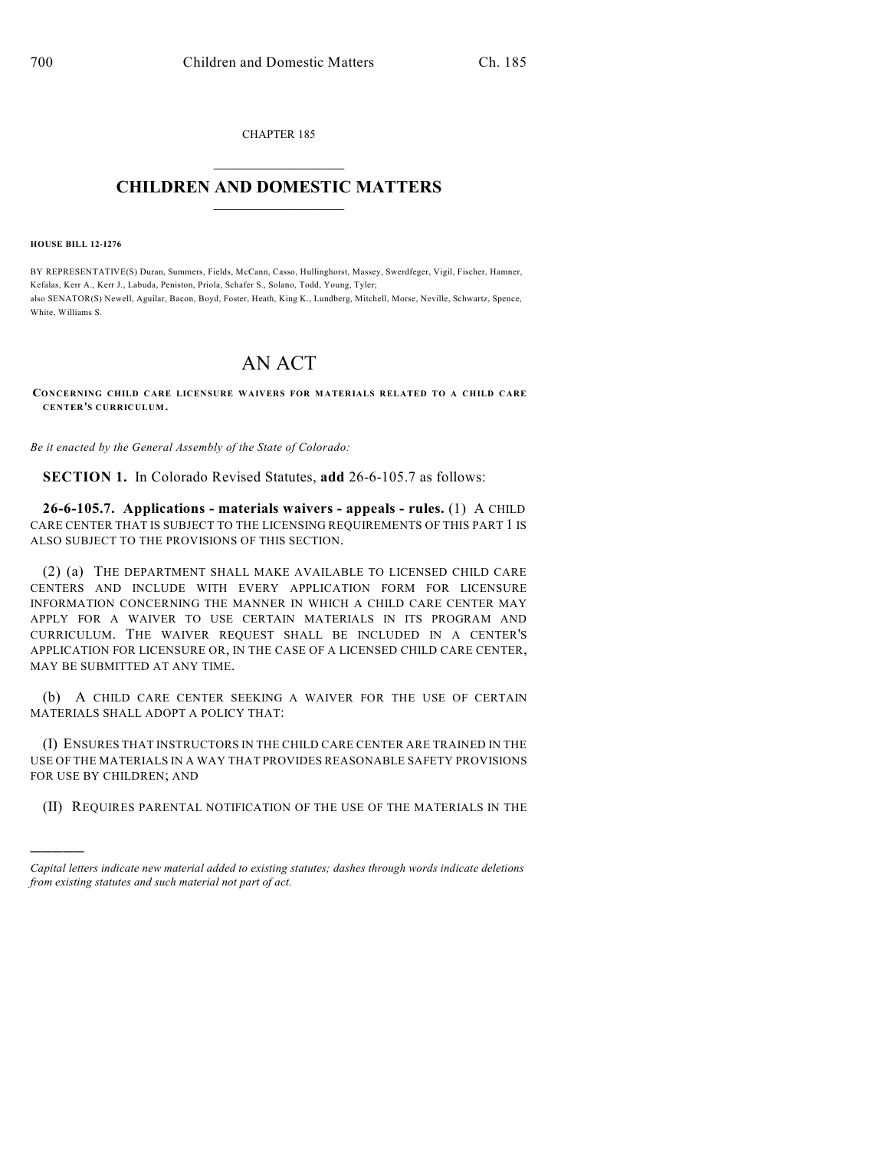CHAPTER 185  $\mathcal{L}_\text{max}$  . The set of the set of the set of the set of the set of the set of the set of the set of the set of the set of the set of the set of the set of the set of the set of the set of the set of the set of the set

## **CHILDREN AND DOMESTIC MATTERS**  $\_$

**HOUSE BILL 12-1276**

)))))

BY REPRESENTATIVE(S) Duran, Summers, Fields, McCann, Casso, Hullinghorst, Massey, Swerdfeger, Vigil, Fischer, Hamner, Kefalas, Kerr A., Kerr J., Labuda, Peniston, Priola, Schafer S., Solano, Todd, Young, Tyler; also SENATOR(S) Newell, Aguilar, Bacon, Boyd, Foster, Heath, King K., Lundberg, Mitchell, Morse, Neville, Schwartz, Spence, White, Williams S.

## AN ACT

**CONCERNING CHILD CARE LICENSURE WAIVERS FOR MATERIALS RELATED TO A CHILD CARE CENTER'S CURRICULUM.**

*Be it enacted by the General Assembly of the State of Colorado:*

**SECTION 1.** In Colorado Revised Statutes, **add** 26-6-105.7 as follows:

**26-6-105.7. Applications - materials waivers - appeals - rules.** (1) A CHILD CARE CENTER THAT IS SUBJECT TO THE LICENSING REQUIREMENTS OF THIS PART 1 IS ALSO SUBJECT TO THE PROVISIONS OF THIS SECTION.

(2) (a) THE DEPARTMENT SHALL MAKE AVAILABLE TO LICENSED CHILD CARE CENTERS AND INCLUDE WITH EVERY APPLICATION FORM FOR LICENSURE INFORMATION CONCERNING THE MANNER IN WHICH A CHILD CARE CENTER MAY APPLY FOR A WAIVER TO USE CERTAIN MATERIALS IN ITS PROGRAM AND CURRICULUM. THE WAIVER REQUEST SHALL BE INCLUDED IN A CENTER'S APPLICATION FOR LICENSURE OR, IN THE CASE OF A LICENSED CHILD CARE CENTER, MAY BE SUBMITTED AT ANY TIME.

(b) A CHILD CARE CENTER SEEKING A WAIVER FOR THE USE OF CERTAIN MATERIALS SHALL ADOPT A POLICY THAT:

(I) ENSURES THAT INSTRUCTORS IN THE CHILD CARE CENTER ARE TRAINED IN THE USE OF THE MATERIALS IN A WAY THAT PROVIDES REASONABLE SAFETY PROVISIONS FOR USE BY CHILDREN; AND

(II) REQUIRES PARENTAL NOTIFICATION OF THE USE OF THE MATERIALS IN THE

*Capital letters indicate new material added to existing statutes; dashes through words indicate deletions from existing statutes and such material not part of act.*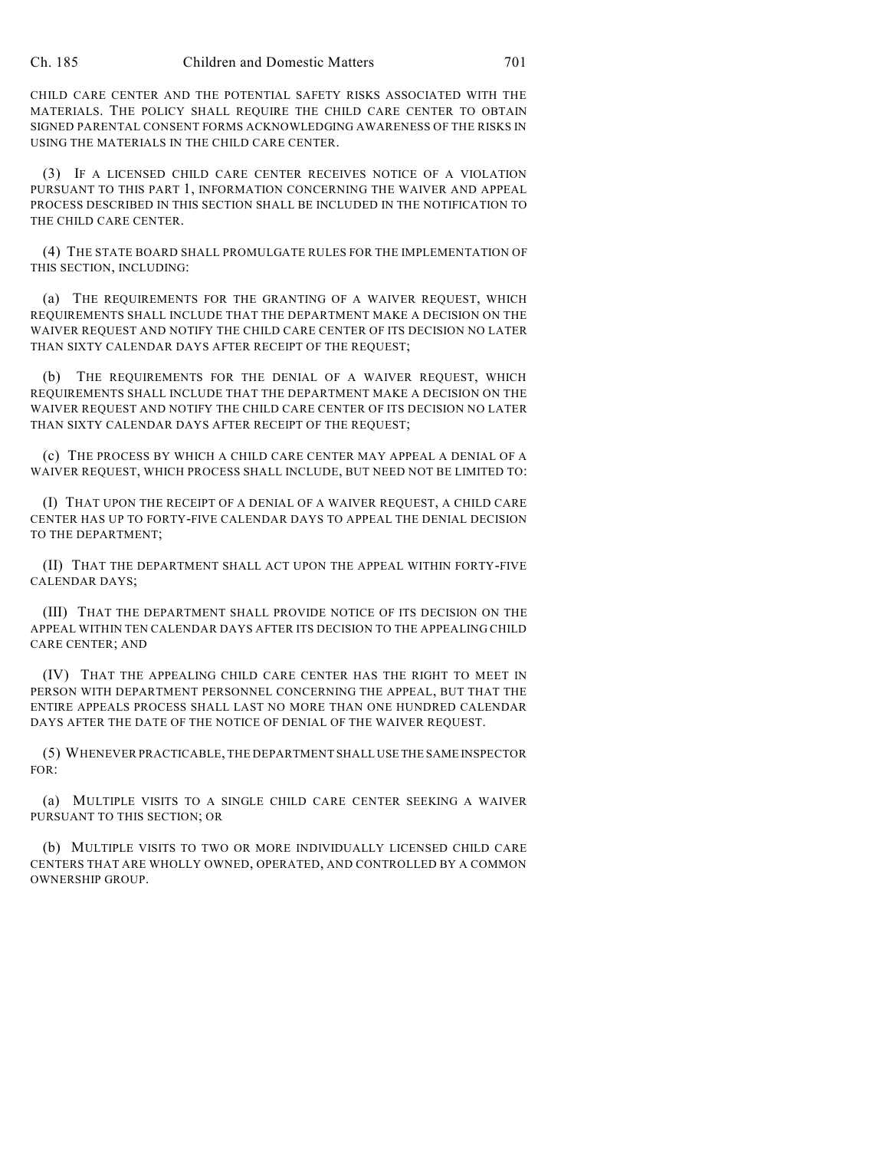CHILD CARE CENTER AND THE POTENTIAL SAFETY RISKS ASSOCIATED WITH THE MATERIALS. THE POLICY SHALL REQUIRE THE CHILD CARE CENTER TO OBTAIN SIGNED PARENTAL CONSENT FORMS ACKNOWLEDGING AWARENESS OF THE RISKS IN USING THE MATERIALS IN THE CHILD CARE CENTER.

(3) IF A LICENSED CHILD CARE CENTER RECEIVES NOTICE OF A VIOLATION PURSUANT TO THIS PART 1, INFORMATION CONCERNING THE WAIVER AND APPEAL PROCESS DESCRIBED IN THIS SECTION SHALL BE INCLUDED IN THE NOTIFICATION TO THE CHILD CARE CENTER.

(4) THE STATE BOARD SHALL PROMULGATE RULES FOR THE IMPLEMENTATION OF THIS SECTION, INCLUDING:

(a) THE REQUIREMENTS FOR THE GRANTING OF A WAIVER REQUEST, WHICH REQUIREMENTS SHALL INCLUDE THAT THE DEPARTMENT MAKE A DECISION ON THE WAIVER REQUEST AND NOTIFY THE CHILD CARE CENTER OF ITS DECISION NO LATER THAN SIXTY CALENDAR DAYS AFTER RECEIPT OF THE REQUEST;

(b) THE REQUIREMENTS FOR THE DENIAL OF A WAIVER REQUEST, WHICH REQUIREMENTS SHALL INCLUDE THAT THE DEPARTMENT MAKE A DECISION ON THE WAIVER REQUEST AND NOTIFY THE CHILD CARE CENTER OF ITS DECISION NO LATER THAN SIXTY CALENDAR DAYS AFTER RECEIPT OF THE REQUEST;

(c) THE PROCESS BY WHICH A CHILD CARE CENTER MAY APPEAL A DENIAL OF A WAIVER REQUEST, WHICH PROCESS SHALL INCLUDE, BUT NEED NOT BE LIMITED TO:

(I) THAT UPON THE RECEIPT OF A DENIAL OF A WAIVER REQUEST, A CHILD CARE CENTER HAS UP TO FORTY-FIVE CALENDAR DAYS TO APPEAL THE DENIAL DECISION TO THE DEPARTMENT;

(II) THAT THE DEPARTMENT SHALL ACT UPON THE APPEAL WITHIN FORTY-FIVE CALENDAR DAYS;

(III) THAT THE DEPARTMENT SHALL PROVIDE NOTICE OF ITS DECISION ON THE APPEAL WITHIN TEN CALENDAR DAYS AFTER ITS DECISION TO THE APPEALING CHILD CARE CENTER; AND

(IV) THAT THE APPEALING CHILD CARE CENTER HAS THE RIGHT TO MEET IN PERSON WITH DEPARTMENT PERSONNEL CONCERNING THE APPEAL, BUT THAT THE ENTIRE APPEALS PROCESS SHALL LAST NO MORE THAN ONE HUNDRED CALENDAR DAYS AFTER THE DATE OF THE NOTICE OF DENIAL OF THE WAIVER REQUEST.

(5) WHENEVER PRACTICABLE, THE DEPARTMENT SHALL USE THE SAME INSPECTOR FOR:

(a) MULTIPLE VISITS TO A SINGLE CHILD CARE CENTER SEEKING A WAIVER PURSUANT TO THIS SECTION; OR

(b) MULTIPLE VISITS TO TWO OR MORE INDIVIDUALLY LICENSED CHILD CARE CENTERS THAT ARE WHOLLY OWNED, OPERATED, AND CONTROLLED BY A COMMON OWNERSHIP GROUP.